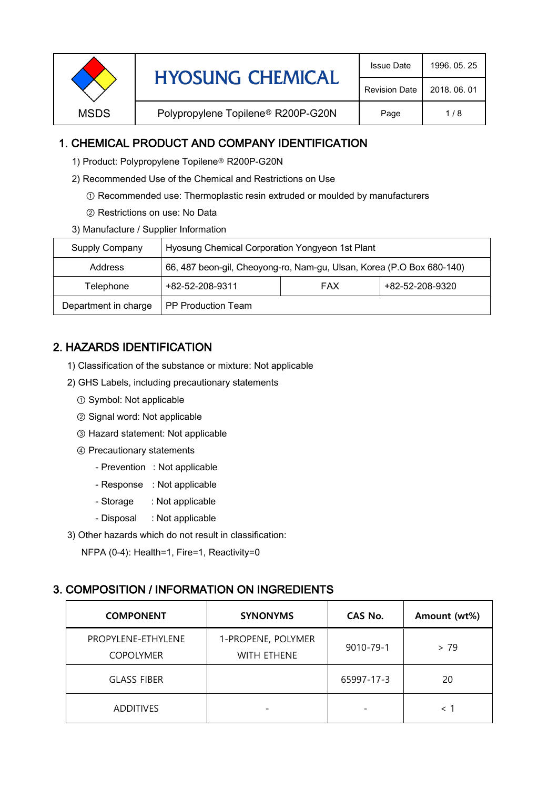| <b>Revision Date</b> |             | <b>HYOSUNG CHEMICAL</b>                        | <b>Issue Date</b> | 1996, 05, 25 |
|----------------------|-------------|------------------------------------------------|-------------------|--------------|
|                      |             |                                                |                   | 2018, 06, 01 |
|                      | <b>MSDS</b> | Polypropylene Topilene <sup>®</sup> R200P-G20N | Page              | 1/8          |

## 1. CHEMICAL PRODUCT AND COMPANY IDENTIFICATION

- 1) Product: Polypropylene Topilene<sup>®</sup> R200P-G20N
- 2) Recommended Use of the Chemical and Restrictions on Use
	- ① Recommended use: Thermoplastic resin extruded or moulded by manufacturers
	- ② Restrictions on use: No Data
- 3) Manufacture / Supplier Information

| Supply Company       | Hyosung Chemical Corporation Yongyeon 1st Plant                       |            |                 |  |
|----------------------|-----------------------------------------------------------------------|------------|-----------------|--|
| Address              | 66, 487 beon-gil, Cheoyong-ro, Nam-gu, Ulsan, Korea (P.O Box 680-140) |            |                 |  |
| Telephone            | +82-52-208-9311                                                       | <b>FAX</b> | +82-52-208-9320 |  |
| Department in charge | <b>PP Production Team</b>                                             |            |                 |  |

# 2. HAZARDS IDENTIFICATION

- 1) Classification of the substance or mixture: Not applicable
- 2) GHS Labels, including precautionary statements
	- ① Symbol: Not applicable
	- ② Signal word: Not applicable
	- ③ Hazard statement: Not applicable
	- ④ Precautionary statements
		- Prevention : Not applicable
		- Response : Not applicable
		- Storage : Not applicable
		- Disposal : Not applicable
- 3) Other hazards which do not result in classification:

NFPA (0-4): Health=1, Fire=1, Reactivity=0

## 3. COMPOSITION / INFORMATION ON INGREDIENTS

| <b>COMPONENT</b>                       | <b>SYNONYMS</b>                          | CAS No.    | Amount (wt%)             |
|----------------------------------------|------------------------------------------|------------|--------------------------|
| PROPYLENE-ETHYLENE<br><b>COPOLYMER</b> | 1-PROPENE, POLYMER<br><b>WITH ETHENE</b> | 9010-79-1  | > 79                     |
| <b>GLASS FIBER</b>                     |                                          | 65997-17-3 | 20                       |
| <b>ADDITIVES</b>                       |                                          |            | $\overline{\phantom{a}}$ |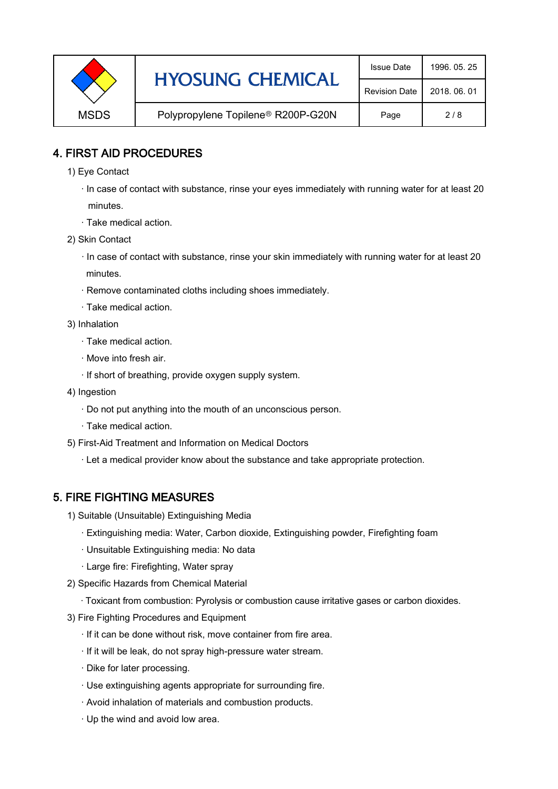|             | <b>HYOSUNG CHEMICAL</b>                        | <b>Issue Date</b> | 1996, 05, 25 |
|-------------|------------------------------------------------|-------------------|--------------|
|             | <b>Revision Date</b>                           | 2018, 06, 01      |              |
| <b>MSDS</b> | Polypropylene Topilene <sup>®</sup> R200P-G20N | Page              | 2/8          |

#### 4. FIRST AID PROCEDURES

- 1) Eye Contact
	- · In case of contact with substance, rinse your eyes immediately with running water for at least 20 minutes.
	- · Take medical action.
- 2) Skin Contact
	- · In case of contact with substance, rinse your skin immediately with running water for at least 20 minutes.
	- · Remove contaminated cloths including shoes immediately.
	- · Take medical action.
- 3) Inhalation
	- · Take medical action.
	- · Move into fresh air.
	- · If short of breathing, provide oxygen supply system.
- 4) Ingestion
	- · Do not put anything into the mouth of an unconscious person.
	- · Take medical action.
- 5) First-Aid Treatment and Information on Medical Doctors
	- · Let a medical provider know about the substance and take appropriate protection.

#### 5. FIRE FIGHTING MEASURES

- 1) Suitable (Unsuitable) Extinguishing Media
	- · Extinguishing media: Water, Carbon dioxide, Extinguishing powder, Firefighting foam
	- · Unsuitable Extinguishing media: No data
	- · Large fire: Firefighting, Water spray
- 2) Specific Hazards from Chemical Material
	- · Toxicant from combustion: Pyrolysis or combustion cause irritative gases or carbon dioxides.
- 3) Fire Fighting Procedures and Equipment
	- · If it can be done without risk, move container from fire area.
	- · If it will be leak, do not spray high-pressure water stream.
	- · Dike for later processing.
	- · Use extinguishing agents appropriate for surrounding fire.
	- · Avoid inhalation of materials and combustion products.
	- · Up the wind and avoid low area.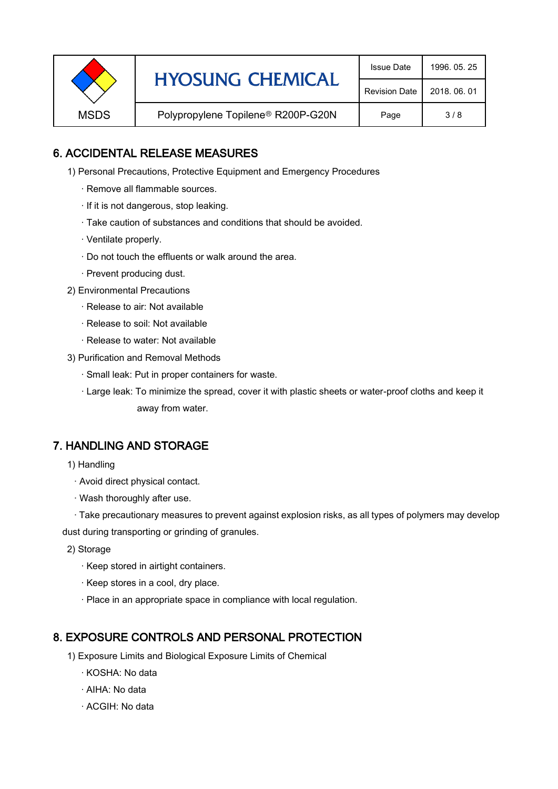|             | <b>HYOSUNG CHEMICAL</b>                        | <b>Issue Date</b> | 1996, 05, 25 |
|-------------|------------------------------------------------|-------------------|--------------|
|             | <b>Revision Date</b>                           | 2018, 06, 01      |              |
| <b>MSDS</b> | Polypropylene Topilene <sup>®</sup> R200P-G20N | Page              | 3/8          |

## 6. ACCIDENTAL RELEASE MEASURES

- 1) Personal Precautions, Protective Equipment and Emergency Procedures
	- · Remove all flammable sources.
	- · If it is not dangerous, stop leaking.
	- · Take caution of substances and conditions that should be avoided.
	- · Ventilate properly.
	- · Do not touch the effluents or walk around the area.
	- · Prevent producing dust.
- 2) Environmental Precautions
	- · Release to air: Not available
	- · Release to soil: Not available
	- · Release to water: Not available
- 3) Purification and Removal Methods
	- · Small leak: Put in proper containers for waste.
	- ,· Large leak: To minimize the spread, cover it with plastic sheets or water-proof cloths and keep it away from water.

#### 7. HANDLING AND STORAGE

- 1) Handling
	- · Avoid direct physical contact.
	- · Wash thoroughly after use.

· Take precautionary measures to prevent against explosion risks, as all types of polymers may develop dust during transporting or grinding of granules.

- 2) Storage
	- · Keep stored in airtight containers.
	- · Keep stores in a cool, dry place.
	- · Place in an appropriate space in compliance with local regulation.

#### 8. EXPOSURE CONTROLS AND PERSONAL PROTECTION

- 1) Exposure Limits and Biological Exposure Limits of Chemical
	- · KOSHA: No data
	- · AIHA: No data
	- · ACGIH: No data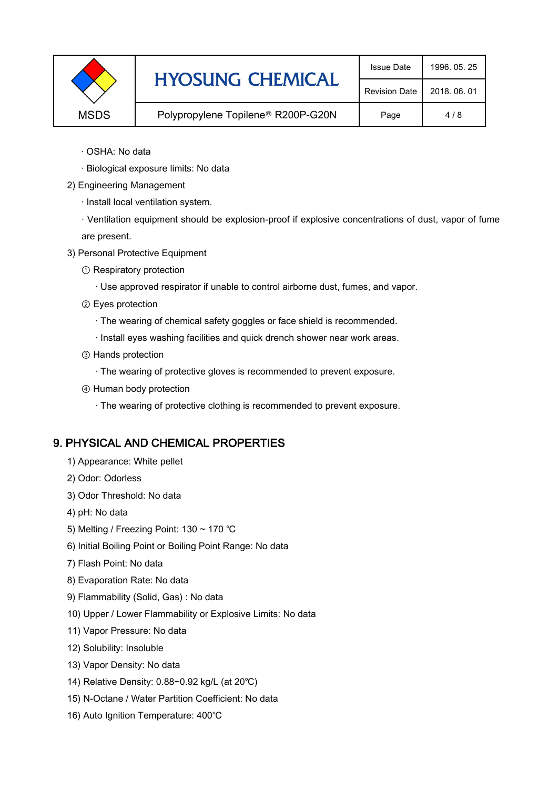|             | <b>HYOSUNG CHEMICAL</b>            | <b>Issue Date</b>    | 1996, 05, 25 |
|-------------|------------------------------------|----------------------|--------------|
|             |                                    | <b>Revision Date</b> | 2018, 06, 01 |
| <b>MSDS</b> | Polypropylene Topilene® R200P-G20N | Page                 | 4/8          |

- · OSHA: No data
- · Biological exposure limits: No data
- 2) Engineering Management
	- · Install local ventilation system.

· Ventilation equipment should be explosion-proof if explosive concentrations of dust, vapor of fume are present.

- 3) Personal Protective Equipment
	- ① Respiratory protection
		- · Use approved respirator if unable to control airborne dust, fumes, and vapor.
	- ② Eyes protection
		- · The wearing of chemical safety goggles or face shield is recommended.
		- · Install eyes washing facilities and quick drench shower near work areas.
	- ③ Hands protection
		- · The wearing of protective gloves is recommended to prevent exposure.
	- ④ Human body protection
		- · The wearing of protective clothing is recommended to prevent exposure.

## 9. PHYSICAL AND CHEMICAL PROPERTIES

- 1) Appearance: White pellet
- 2) Odor: Odorless
- 3) Odor Threshold: No data
- 4) pH: No data
- 5) Melting / Freezing Point: 130 ~ 170 ℃
- 6) Initial Boiling Point or Boiling Point Range: No data
- 7) Flash Point: No data
- 8) Evaporation Rate: No data
- 9) Flammability (Solid, Gas) : No data
- 10) Upper / Lower Flammability or Explosive Limits: No data
- 11) Vapor Pressure: No data
- 12) Solubility: Insoluble
- 13) Vapor Density: No data
- 14) Relative Density: 0.88~0.92 kg/L (at 20℃)
- 15) N-Octane / Water Partition Coefficient: No data
- 16) Auto Ignition Temperature: 400℃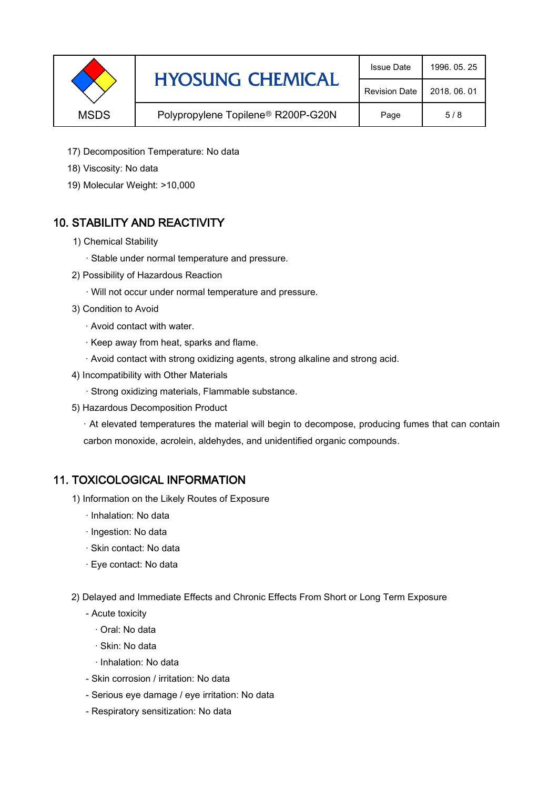|             | <b>HYOSUNG CHEMICAL</b>                        | <b>Issue Date</b> | 1996, 05, 25 |
|-------------|------------------------------------------------|-------------------|--------------|
|             | <b>Revision Date</b>                           | 2018, 06, 01      |              |
| <b>MSDS</b> | Polypropylene Topilene <sup>®</sup> R200P-G20N | Page              | 5/8          |

- 17) Decomposition Temperature: No data
- 18) Viscosity: No data
- 19) Molecular Weight: >10,000

## 10. STABILITY AND REACTIVITY

- 1) Chemical Stability
	- · Stable under normal temperature and pressure.
- 2) Possibility of Hazardous Reaction
	- · Will not occur under normal temperature and pressure.
- 3) Condition to Avoid
	- · Avoid contact with water.
	- · Keep away from heat, sparks and flame.
	- · Avoid contact with strong oxidizing agents, strong alkaline and strong acid.
- 4) Incompatibility with Other Materials
	- · Strong oxidizing materials, Flammable substance.
- 5) Hazardous Decomposition Product

· At elevated temperatures the material will begin to decompose, producing fumes that can contain carbon monoxide, acrolein, aldehydes, and unidentified organic compounds.

#### 11. TOXICOLOGICAL INFORMATION

- 1) Information on the Likely Routes of Exposure
	- · Inhalation: No data
	- · Ingestion: No data
	- · Skin contact: No data
	- · Eye contact: No data
- 2) Delayed and Immediate Effects and Chronic Effects From Short or Long Term Exposure
	- Acute toxicity
		- · Oral: No data
		- · Skin: No data
		- · Inhalation: No data
	- Skin corrosion / irritation: No data
	- Serious eye damage / eye irritation: No data
	- Respiratory sensitization: No data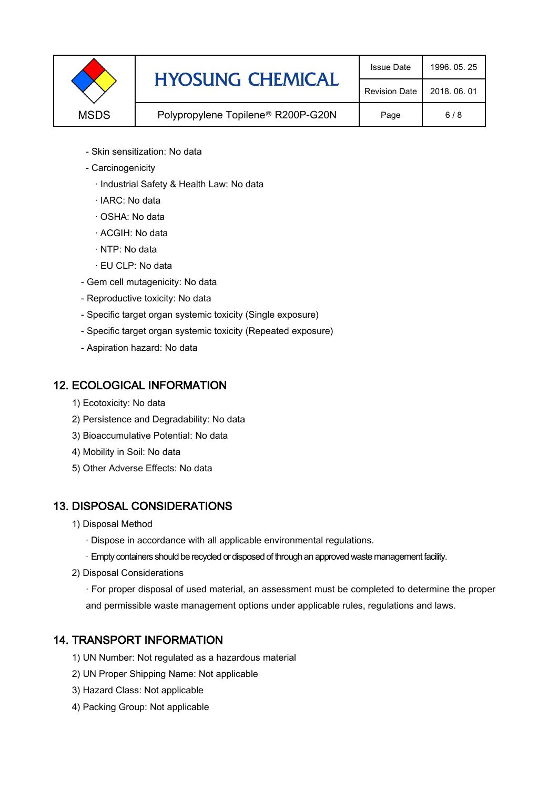|             | <b>HYOSUNG CHEMICAL</b>                        | <b>Issue Date</b> | 1996, 05, 25 |
|-------------|------------------------------------------------|-------------------|--------------|
|             | <b>Revision Date</b>                           | 2018, 06, 01      |              |
| <b>MSDS</b> | Polypropylene Topilene <sup>®</sup> R200P-G20N | Page              | 6/8          |

- Skin sensitization: No data
- Carcinogenicity
	- · Industrial Safety & Health Law: No data
	- · IARC: No data
	- · OSHA: No data
	- · ACGIH: No data
	- · NTP: No data
	- · EU CLP: No data
- Gem cell mutagenicity: No data
- Reproductive toxicity: No data
- Specific target organ systemic toxicity (Single exposure)
- Specific target organ systemic toxicity (Repeated exposure)
- Aspiration hazard: No data

#### 12. ECOLOGICAL INFORMATION

- 1) Ecotoxicity: No data
- 2) Persistence and Degradability: No data
- 3) Bioaccumulative Potential: No data
- 4) Mobility in Soil: No data
- 5) Other Adverse Effects: No data

## 13. DISPOSAL CONSIDERATIONS

- 1) Disposal Method
	- · Dispose in accordance with all applicable environmental regulations.
	- · Empty containers should be recycled or disposed of through an approved waste management facility.
- 2) Disposal Considerations
	- · For proper disposal of used material, an assessment must be completed to determine the proper and permissible waste management options under applicable rules, regulations and laws.

## 14. TRANSPORT INFORMATION

- 1) UN Number: Not regulated as a hazardous material
- 2) UN Proper Shipping Name: Not applicable
- 3) Hazard Class: Not applicable
- 4) Packing Group: Not applicable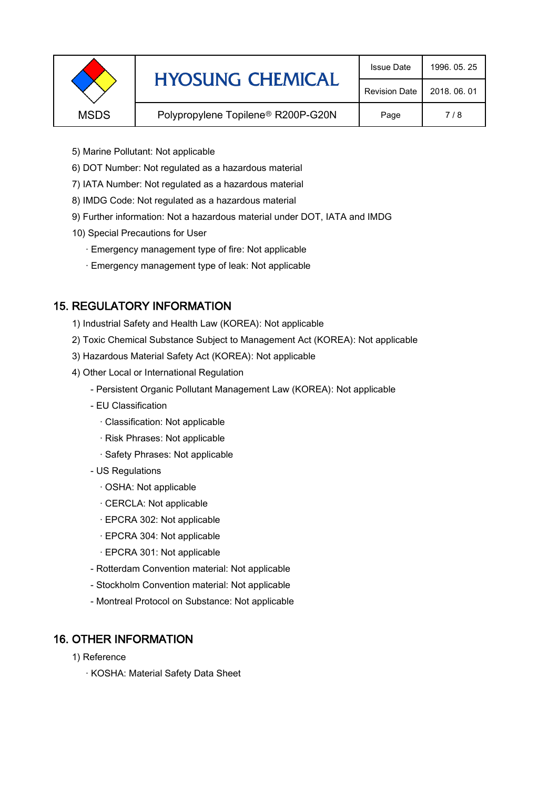|             | <b>HYOSUNG CHEMICAL</b>                        |                      | 1996, 05, 25 |
|-------------|------------------------------------------------|----------------------|--------------|
|             |                                                | <b>Revision Date</b> | 2018, 06, 01 |
| <b>MSDS</b> | Polypropylene Topilene <sup>®</sup> R200P-G20N | Page                 | 7/8          |
|             |                                                |                      |              |

- 5) Marine Pollutant: Not applicable
- 6) DOT Number: Not regulated as a hazardous material
- 7) IATA Number: Not regulated as a hazardous material
- 8) IMDG Code: Not regulated as a hazardous material
- 9) Further information: Not a hazardous material under DOT, IATA and IMDG
- 10) Special Precautions for User
	- · Emergency management type of fire: Not applicable
	- · Emergency management type of leak: Not applicable

## 15. REGULATORY INFORMATION

- 1) Industrial Safety and Health Law (KOREA): Not applicable
- 2) Toxic Chemical Substance Subject to Management Act (KOREA): Not applicable
- 3) Hazardous Material Safety Act (KOREA): Not applicable
- 4) Other Local or International Regulation
	- Persistent Organic Pollutant Management Law (KOREA): Not applicable
	- EU Classification
		- · Classification: Not applicable
		- · Risk Phrases: Not applicable
		- · Safety Phrases: Not applicable
	- US Regulations
		- · OSHA: Not applicable
		- · CERCLA: Not applicable
		- · EPCRA 302: Not applicable
		- · EPCRA 304: Not applicable
		- · EPCRA 301: Not applicable
	- Rotterdam Convention material: Not applicable
	- Stockholm Convention material: Not applicable
	- Montreal Protocol on Substance: Not applicable

## 16. OTHER INFORMATION

- 1) Reference
	- · KOSHA: Material Safety Data Sheet